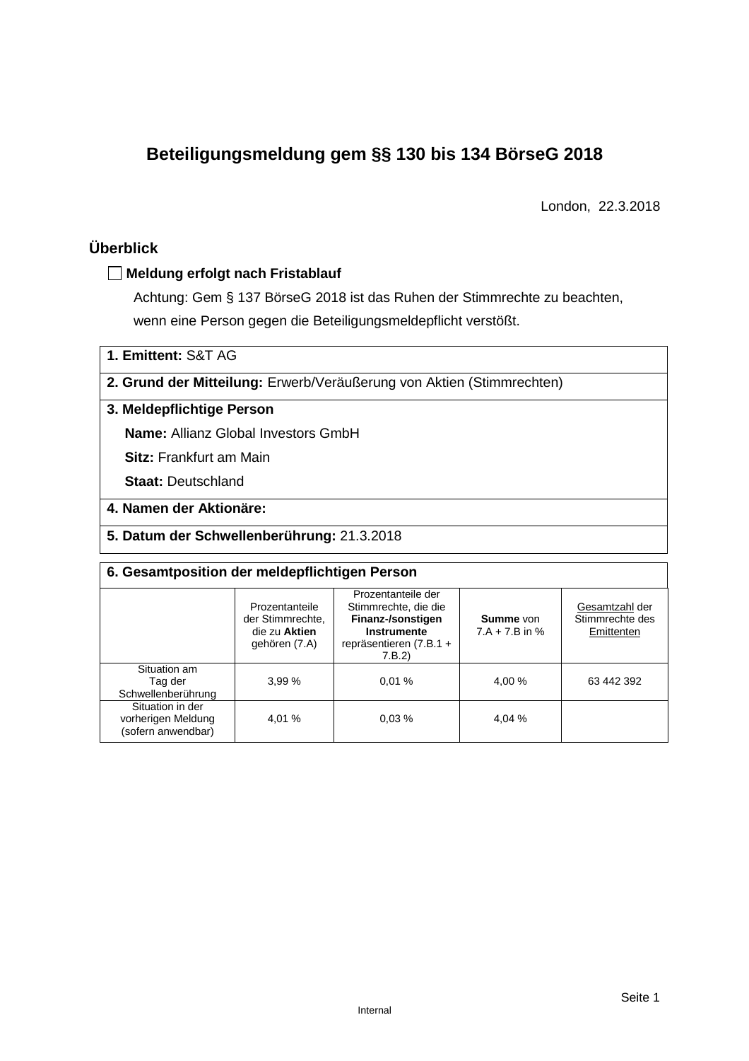# **Beteiligungsmeldung gem §§ 130 bis 134 BörseG 2018**

London, 22.3.2018

# **Überblick**

### **Meldung erfolgt nach Fristablauf**

Achtung: Gem § 137 BörseG 2018 ist das Ruhen der Stimmrechte zu beachten, wenn eine Person gegen die Beteiligungsmeldepflicht verstößt.

**1. Emittent:** S&T AG

**2. Grund der Mitteilung:** Erwerb/Veräußerung von Aktien (Stimmrechten)

### **3. Meldepflichtige Person**

**Name:** Allianz Global Investors GmbH

**Sitz:** Frankfurt am Main

**Staat:** Deutschland

# **4. Namen der Aktionäre:**

**5. Datum der Schwellenberührung:** 21.3.2018

| 6. Gesamtposition der meldepflichtigen Person                |                                                                      |                                                                                                                    |                               |                                                 |  |  |  |  |
|--------------------------------------------------------------|----------------------------------------------------------------------|--------------------------------------------------------------------------------------------------------------------|-------------------------------|-------------------------------------------------|--|--|--|--|
|                                                              | Prozentanteile<br>der Stimmrechte.<br>die zu Aktien<br>gehören (7.A) | Prozentanteile der<br>Stimmrechte, die die<br>Finanz-/sonstigen<br>Instrumente<br>repräsentieren (7.B.1 +<br>7.B.2 | Summe von<br>$7.A + 7.B$ in % | Gesamtzahl der<br>Stimmrechte des<br>Emittenten |  |  |  |  |
| Situation am<br>Tag der<br>Schwellenberührung                | 3.99%                                                                | 0.01%                                                                                                              | 4.00 %                        | 63 442 392                                      |  |  |  |  |
| Situation in der<br>vorherigen Meldung<br>(sofern anwendbar) | 4.01 %                                                               | 0.03%                                                                                                              | 4,04 %                        |                                                 |  |  |  |  |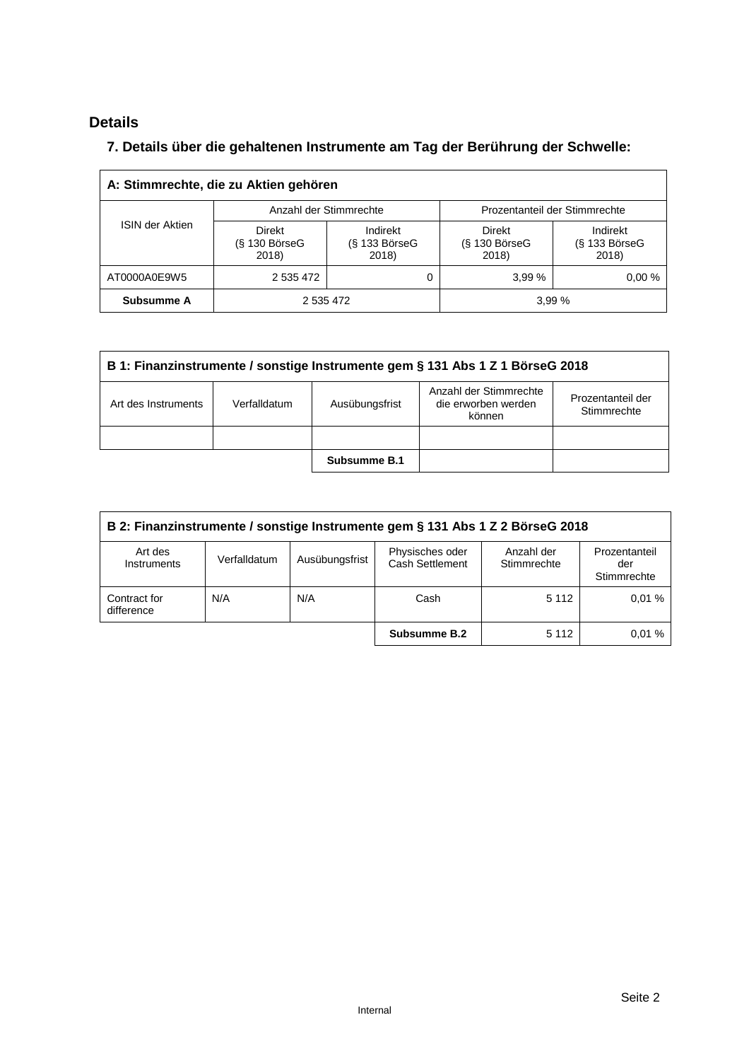# **Details**

# **7. Details über die gehaltenen Instrumente am Tag der Berührung der Schwelle:**

| A: Stimmrechte, die zu Aktien gehören |                                       |                                      |                                         |                                         |  |  |  |  |
|---------------------------------------|---------------------------------------|--------------------------------------|-----------------------------------------|-----------------------------------------|--|--|--|--|
| <b>ISIN der Aktien</b>                | Anzahl der Stimmrechte                |                                      | Prozentanteil der Stimmrechte           |                                         |  |  |  |  |
|                                       | Direkt<br>$(S$ 130 Börse $G$<br>2018) | Indirekt<br>$(S$ 133 BörseG<br>2018) | <b>Direkt</b><br>(§ 130 BörseG<br>2018) | Indirekt<br>$(S$ 133 Börse $G$<br>2018) |  |  |  |  |
| AT0000A0E9W5                          | 2 535 472                             |                                      | 3.99%                                   | 0.00%                                   |  |  |  |  |
| Subsumme A                            | 2 535 472                             |                                      |                                         | 3,99 %                                  |  |  |  |  |

| B 1: Finanzinstrumente / sonstige Instrumente gem § 131 Abs 1 Z 1 BörseG 2018                                                                        |  |              |  |  |  |  |  |
|------------------------------------------------------------------------------------------------------------------------------------------------------|--|--------------|--|--|--|--|--|
| Anzahl der Stimmrechte<br>Prozentanteil der<br>die erworben werden<br>Art des Instruments<br>Ausübungsfrist<br>Verfalldatum<br>Stimmrechte<br>können |  |              |  |  |  |  |  |
|                                                                                                                                                      |  |              |  |  |  |  |  |
|                                                                                                                                                      |  | Subsumme B.1 |  |  |  |  |  |

| B 2: Finanzinstrumente / sonstige Instrumente gem § 131 Abs 1 Z 2 BörseG 2018 |              |                |                                    |                           |                                     |  |
|-------------------------------------------------------------------------------|--------------|----------------|------------------------------------|---------------------------|-------------------------------------|--|
| Art des<br>Instruments                                                        | Verfalldatum | Ausübungsfrist | Physisches oder<br>Cash Settlement | Anzahl der<br>Stimmrechte | Prozentanteil<br>der<br>Stimmrechte |  |
| Contract for<br>difference                                                    | N/A          | N/A            | Cash                               | 5 1 1 2                   | 0.01%                               |  |
|                                                                               |              |                | Subsumme B.2                       | 5 1 1 2                   | 0.01%                               |  |

 $\overline{\mathbf{1}}$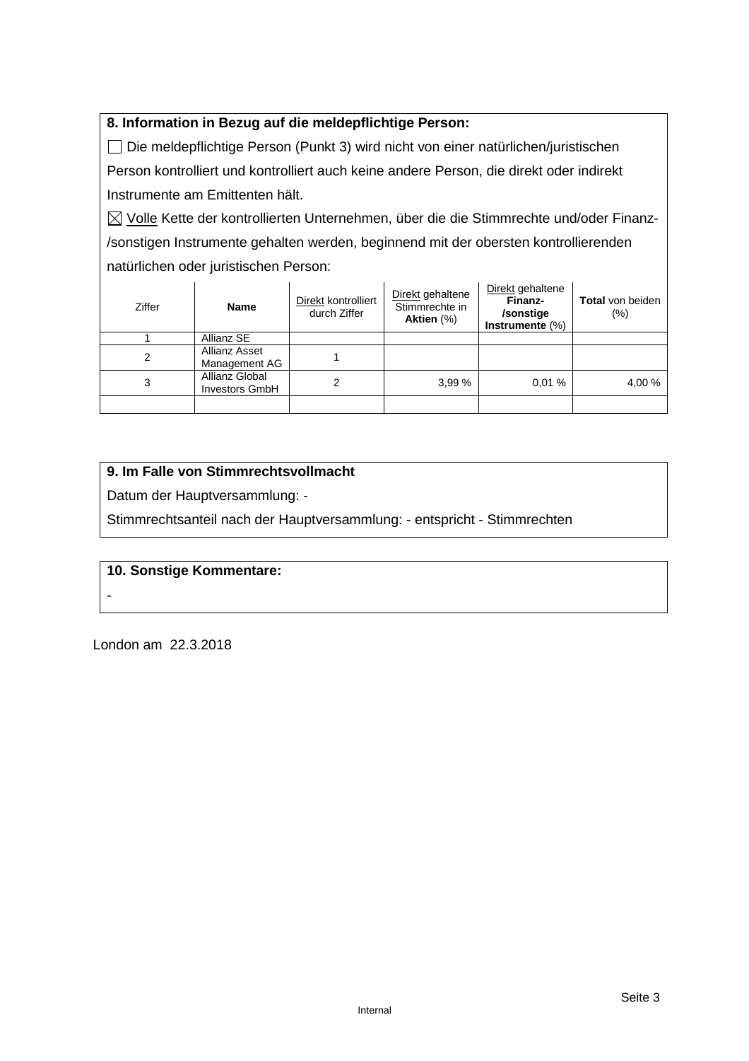## **8. Information in Bezug auf die meldepflichtige Person:**

 Die meldepflichtige Person (Punkt 3) wird nicht von einer natürlichen/juristischen Person kontrolliert und kontrolliert auch keine andere Person, die direkt oder indirekt Instrumente am Emittenten hält.

 $\boxtimes$  Volle Kette der kontrollierten Unternehmen, über die die Stimmrechte und/oder Finanz-/sonstigen Instrumente gehalten werden, beginnend mit der obersten kontrollierenden natürlichen oder juristischen Person:

| Ziffer | <b>Name</b>                             | Direkt kontrolliert<br>durch Ziffer | Direkt gehaltene<br>Stimmrechte in<br>Aktien (%) | Direkt gehaltene<br>Finanz-<br>/sonstige<br>Instrumente $(\%)$ | <b>Total</b> von beiden<br>$(\% )$ |
|--------|-----------------------------------------|-------------------------------------|--------------------------------------------------|----------------------------------------------------------------|------------------------------------|
|        | Allianz SE                              |                                     |                                                  |                                                                |                                    |
| 2      | Allianz Asset<br>Management AG          |                                     |                                                  |                                                                |                                    |
| 3      | Allianz Global<br><b>Investors GmbH</b> |                                     | 3,99%                                            | 0.01%                                                          | 4,00 %                             |
|        |                                         |                                     |                                                  |                                                                |                                    |

# **9. Im Falle von Stimmrechtsvollmacht**

Datum der Hauptversammlung: -

Stimmrechtsanteil nach der Hauptversammlung: - entspricht - Stimmrechten

### **10. Sonstige Kommentare:**

London am 22.3.2018

-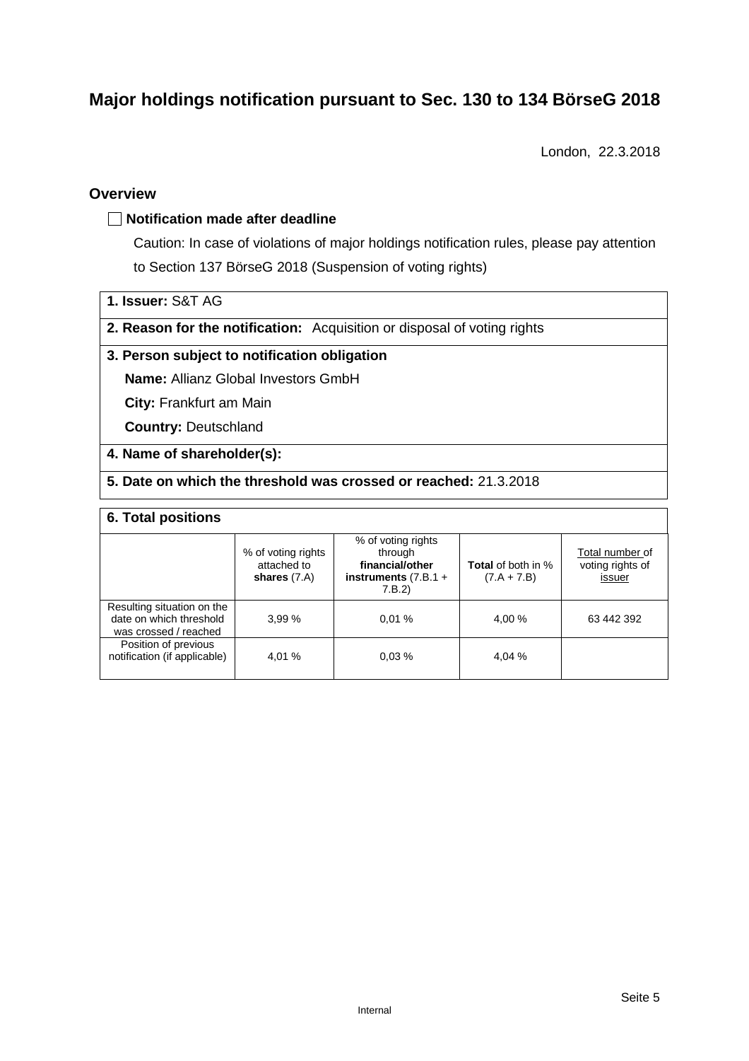# **Major holdings notification pursuant to Sec. 130 to 134 BörseG 2018**

London, 22.3.2018

### **Overview**

#### **Notification made after deadline**

Caution: In case of violations of major holdings notification rules, please pay attention to Section 137 BörseG 2018 (Suspension of voting rights)

- **1. Issuer:** S&T AG
- **2. Reason for the notification:** Acquisition or disposal of voting rights

#### **3. Person subject to notification obligation**

**Name:** Allianz Global Investors GmbH

**City:** Frankfurt am Main

**Country:** Deutschland

#### **4. Name of shareholder(s):**

#### **5. Date on which the threshold was crossed or reached:** 21.3.2018

#### **6. Total positions**

|                                                                                | % of voting rights<br>attached to<br>shares $(7.A)$ | % of voting rights<br>through<br>financial/other<br>instruments $(7.B.1 +$<br>7.B.2 | <b>Total</b> of both in %<br>$(7.A + 7.B)$ | Total number of<br>voting rights of<br>issuer |
|--------------------------------------------------------------------------------|-----------------------------------------------------|-------------------------------------------------------------------------------------|--------------------------------------------|-----------------------------------------------|
| Resulting situation on the<br>date on which threshold<br>was crossed / reached | 3.99%                                               | 0.01%                                                                               | 4,00 %                                     | 63 442 392                                    |
| Position of previous<br>notification (if applicable)                           | 4.01 %                                              | 0.03%                                                                               | 4,04 %                                     |                                               |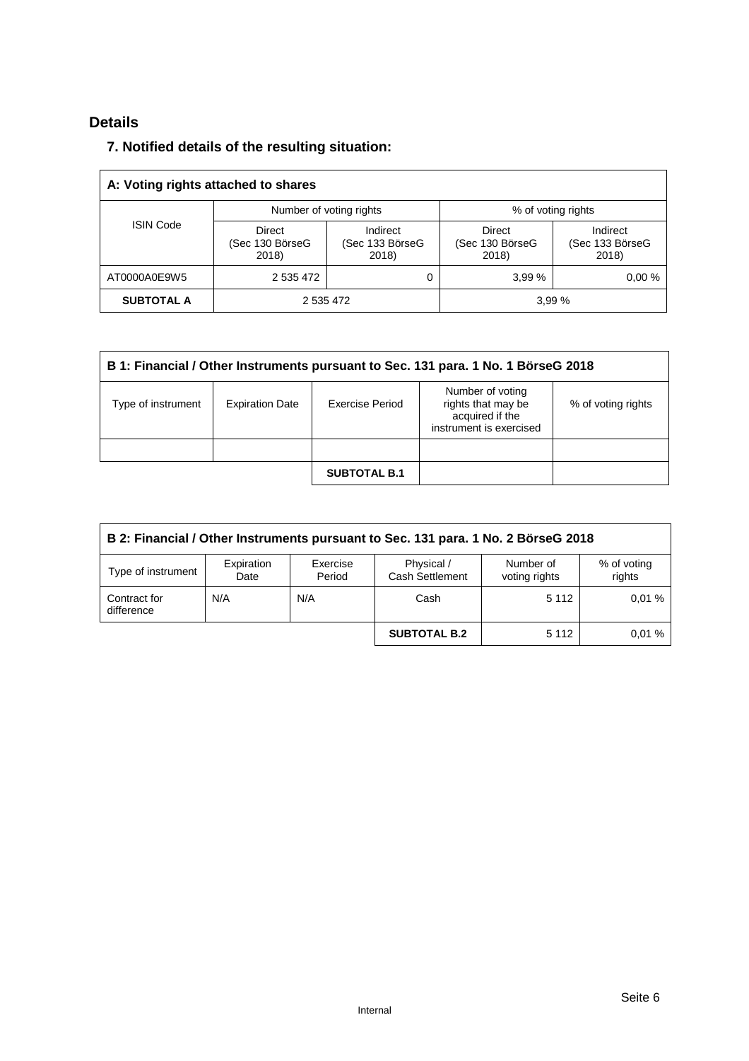# **Details**

# **7. Notified details of the resulting situation:**

| A: Voting rights attached to shares |                                           |                                      |                                           |                                      |  |  |  |
|-------------------------------------|-------------------------------------------|--------------------------------------|-------------------------------------------|--------------------------------------|--|--|--|
|                                     | Number of voting rights                   |                                      | % of voting rights                        |                                      |  |  |  |
| <b>ISIN Code</b>                    | <b>Direct</b><br>(Sec 130 BörseG<br>2018) | Indirect<br>(Sec 133 BörseG<br>2018) | <b>Direct</b><br>(Sec 130 BörseG<br>2018) | Indirect<br>(Sec 133 BörseG<br>2018) |  |  |  |
| AT0000A0E9W5                        | 2 535 472                                 | 0                                    | 3.99%                                     | 0.00%                                |  |  |  |
| <b>SUBTOTAL A</b>                   | 2 535 472                                 |                                      | 3,99 %                                    |                                      |  |  |  |

| B 1: Financial / Other Instruments pursuant to Sec. 131 para. 1 No. 1 BörseG 2018 |                        |                     |                                                                                      |                    |  |  |
|-----------------------------------------------------------------------------------|------------------------|---------------------|--------------------------------------------------------------------------------------|--------------------|--|--|
| Type of instrument                                                                | <b>Expiration Date</b> | Exercise Period     | Number of voting<br>rights that may be<br>acquired if the<br>instrument is exercised | % of voting rights |  |  |
|                                                                                   |                        |                     |                                                                                      |                    |  |  |
|                                                                                   |                        | <b>SUBTOTAL B.1</b> |                                                                                      |                    |  |  |

| B 2: Financial / Other Instruments pursuant to Sec. 131 para. 1 No. 2 BörseG 2018 |                    |                    |                                      |                            |                       |  |
|-----------------------------------------------------------------------------------|--------------------|--------------------|--------------------------------------|----------------------------|-----------------------|--|
| Type of instrument                                                                | Expiration<br>Date | Exercise<br>Period | Physical /<br><b>Cash Settlement</b> | Number of<br>voting rights | % of voting<br>rights |  |
| Contract for<br>difference                                                        | N/A                | N/A                | Cash                                 | 5 1 1 2                    | 0.01%                 |  |
|                                                                                   |                    |                    | <b>SUBTOTAL B.2</b>                  | 5 1 1 2                    | 0.01%                 |  |